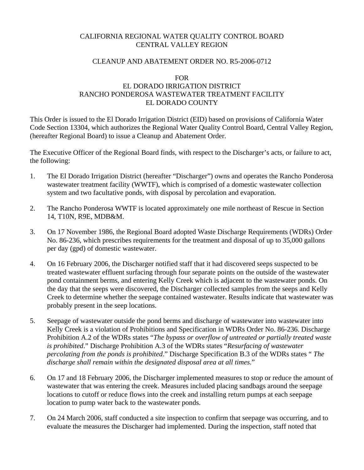## CALIFORNIA REGIONAL WATER QUALITY CONTROL BOARD CENTRAL VALLEY REGION

## CLEANUP AND ABATEMENT ORDER NO. R5-2006-0712

#### FOR

# EL DORADO IRRIGATION DISTRICT RANCHO PONDEROSA WASTEWATER TREATMENT FACILITY EL DORADO COUNTY

This Order is issued to the El Dorado Irrigation District (EID) based on provisions of California Water Code Section 13304, which authorizes the Regional Water Quality Control Board, Central Valley Region, (hereafter Regional Board) to issue a Cleanup and Abatement Order.

The Executive Officer of the Regional Board finds, with respect to the Discharger's acts, or failure to act, the following:

- 1. The El Dorado Irrigation District (hereafter "Discharger") owns and operates the Rancho Ponderosa wastewater treatment facility (WWTF), which is comprised of a domestic wastewater collection system and two facultative ponds, with disposal by percolation and evaporation.
- 2. The Rancho Ponderosa WWTF is located approximately one mile northeast of Rescue in Section 14, T10N, R9E, MDB&M.
- 3. On 17 November 1986, the Regional Board adopted Waste Discharge Requirements (WDRs) Order No. 86-236, which prescribes requirements for the treatment and disposal of up to 35,000 gallons per day (gpd) of domestic wastewater.
- 4. On 16 February 2006, the Discharger notified staff that it had discovered seeps suspected to be treated wastewater effluent surfacing through four separate points on the outside of the wastewater pond containment berms, and entering Kelly Creek which is adjacent to the wastewater ponds. On the day that the seeps were discovered, the Discharger collected samples from the seeps and Kelly Creek to determine whether the seepage contained wastewater. Results indicate that wastewater was probably present in the seep locations.
- 5. Seepage of wastewater outside the pond berms and discharge of wastewater into wastewater into Kelly Creek is a violation of Prohibitions and Specification in WDRs Order No. 86-236. Discharge Prohibition A.2 of the WDRs states "*The bypass or overflow of untreated or partially treated waste is prohibited*." Discharge Prohibition A.3 of the WDRs states "*Resurfacing of wastewater percolating from the ponds is prohibited*." Discharge Specification B.3 of the WDRs states " *The discharge shall remain within the designated disposal area at all times*."
- 6. On 17 and 18 February 2006, the Discharger implemented measures to stop or reduce the amount of wastewater that was entering the creek. Measures included placing sandbags around the seepage locations to cutoff or reduce flows into the creek and installing return pumps at each seepage location to pump water back to the wastewater ponds.
- 7. On 24 March 2006, staff conducted a site inspection to confirm that seepage was occurring, and to evaluate the measures the Discharger had implemented. During the inspection, staff noted that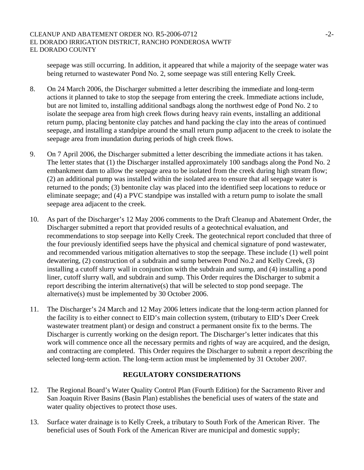seepage was still occurring. In addition, it appeared that while a majority of the seepage water was being returned to wastewater Pond No. 2, some seepage was still entering Kelly Creek.

- 8. On 24 March 2006, the Discharger submitted a letter describing the immediate and long-term actions it planned to take to stop the seepage from entering the creek. Immediate actions include, but are not limited to, installing additional sandbags along the northwest edge of Pond No. 2 to isolate the seepage area from high creek flows during heavy rain events, installing an additional return pump, placing bentonite clay patches and hand packing the clay into the areas of continued seepage, and installing a standpipe around the small return pump adjacent to the creek to isolate the seepage area from inundation during periods of high creek flows.
- 9. On 7 April 2006, the Discharger submitted a letter describing the immediate actions it has taken. The letter states that (1) the Discharger installed approximately 100 sandbags along the Pond No. 2 embankment dam to allow the seepage area to be isolated from the creek during high stream flow; (2) an additional pump was installed within the isolated area to ensure that all seepage water is returned to the ponds; (3) bentonite clay was placed into the identified seep locations to reduce or eliminate seepage; and (4) a PVC standpipe was installed with a return pump to isolate the small seepage area adjacent to the creek.
- 10. As part of the Discharger's 12 May 2006 comments to the Draft Cleanup and Abatement Order, the Discharger submitted a report that provided results of a geotechnical evaluation, and recommendations to stop seepage into Kelly Creek. The geotechnical report concluded that three of the four previously identified seeps have the physical and chemical signature of pond wastewater, and recommended various mitigation alternatives to stop the seepage. These include (1) well point dewatering, (2) construction of a subdrain and sump between Pond No.2 and Kelly Creek, (3) installing a cutoff slurry wall in conjunction with the subdrain and sump, and (4) installing a pond liner, cutoff slurry wall, and subdrain and sump. This Order requires the Discharger to submit a report describing the interim alternative(s) that will be selected to stop pond seepage. The alternative(s) must be implemented by 30 October 2006.
- 11. The Discharger's 24 March and 12 May 2006 letters indicate that the long-term action planned for the facility is to either connect to EID's main collection system, (tributary to EID's Deer Creek wastewater treatment plant) or design and construct a permanent onsite fix to the berms. The Discharger is currently working on the design report. The Discharger's letter indicates that this work will commence once all the necessary permits and rights of way are acquired, and the design, and contracting are completed. This Order requires the Discharger to submit a report describing the selected long-term action. The long-term action must be implemented by 31 October 2007.

### **REGULATORY CONSIDERATIONS**

- 12. The Regional Board's Water Quality Control Plan (Fourth Edition) for the Sacramento River and San Joaquin River Basins (Basin Plan) establishes the beneficial uses of waters of the state and water quality objectives to protect those uses.
- 13. Surface water drainage is to Kelly Creek, a tributary to South Fork of the American River. The beneficial uses of South Fork of the American River are municipal and domestic supply;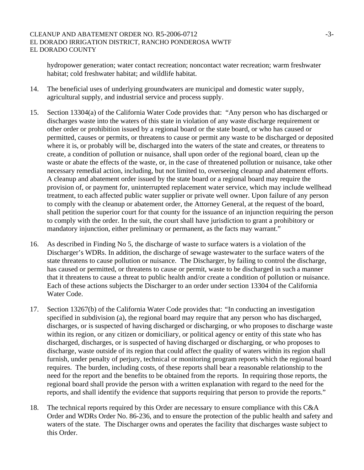hydropower generation; water contact recreation; noncontact water recreation; warm freshwater habitat; cold freshwater habitat; and wildlife habitat.

- 14. The beneficial uses of underlying groundwaters are municipal and domestic water supply, agricultural supply, and industrial service and process supply.
- 15. Section 13304(a) of the California Water Code provides that: "Any person who has discharged or discharges waste into the waters of this state in violation of any waste discharge requirement or other order or prohibition issued by a regional board or the state board, or who has caused or permitted, causes or permits, or threatens to cause or permit any waste to be discharged or deposited where it is, or probably will be, discharged into the waters of the state and creates, or threatens to create, a condition of pollution or nuisance, shall upon order of the regional board, clean up the waste or abate the effects of the waste, or, in the case of threatened pollution or nuisance, take other necessary remedial action, including, but not limited to, overseeing cleanup and abatement efforts. A cleanup and abatement order issued by the state board or a regional board may require the provision of, or payment for, uninterrupted replacement water service, which may include wellhead treatment, to each affected public water supplier or private well owner. Upon failure of any person to comply with the cleanup or abatement order, the Attorney General, at the request of the board, shall petition the superior court for that county for the issuance of an injunction requiring the person to comply with the order. In the suit, the court shall have jurisdiction to grant a prohibitory or mandatory injunction, either preliminary or permanent, as the facts may warrant."
- 16. As described in Finding No 5, the discharge of waste to surface waters is a violation of the Discharger's WDRs. In addition, the discharge of sewage wastewater to the surface waters of the state threatens to cause pollution or nuisance. The Discharger, by failing to control the discharge, has caused or permitted, or threatens to cause or permit, waste to be discharged in such a manner that it threatens to cause a threat to public health and/or create a condition of pollution or nuisance. Each of these actions subjects the Discharger to an order under section 13304 of the California Water Code.
- 17. Section 13267(b) of the California Water Code provides that: *"*In conducting an investigation specified in subdivision (a), the regional board may require that any person who has discharged, discharges, or is suspected of having discharged or discharging, or who proposes to discharge waste within its region, or any citizen or domiciliary, or political agency or entity of this state who has discharged, discharges, or is suspected of having discharged or discharging, or who proposes to discharge, waste outside of its region that could affect the quality of waters within its region shall furnish, under penalty of perjury, technical or monitoring program reports which the regional board requires. The burden, including costs, of these reports shall bear a reasonable relationship to the need for the report and the benefits to be obtained from the reports. In requiring those reports, the regional board shall provide the person with a written explanation with regard to the need for the reports, and shall identify the evidence that supports requiring that person to provide the reports."
- 18. The technical reports required by this Order are necessary to ensure compliance with this C&A Order and WDRs Order No. 86-236, and to ensure the protection of the public health and safety and waters of the state. The Discharger owns and operates the facility that discharges waste subject to this Order.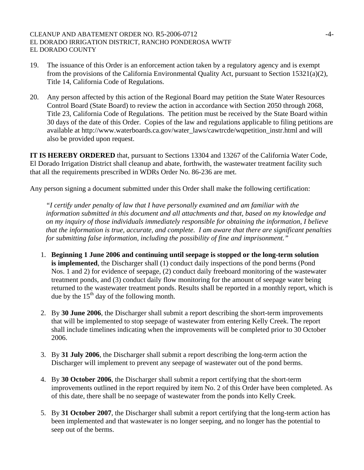- 19. The issuance of this Order is an enforcement action taken by a regulatory agency and is exempt from the provisions of the California Environmental Quality Act, pursuant to Section 15321(a)(2), Title 14, California Code of Regulations.
- 20. Any person affected by this action of the Regional Board may petition the State Water Resources Control Board (State Board) to review the action in accordance with Section 2050 through 2068, Title 23, California Code of Regulations. The petition must be received by the State Board within 30 days of the date of this Order. Copies of the law and regulations applicable to filing petitions are available at http://www.waterboards.ca.gov/water\_laws/cawtrcde/wqpetition\_instr.html and will also be provided upon request.

**IT IS HEREBY ORDERED** that, pursuant to Sections 13304 and 13267 of the California Water Code, El Dorado Irrigation District shall cleanup and abate, forthwith, the wastewater treatment facility such that all the requirements prescribed in WDRs Order No. 86-236 are met.

Any person signing a document submitted under this Order shall make the following certification:

*"I certify under penalty of law that I have personally examined and am familiar with the information submitted in this document and all attachments and that, based on my knowledge and on my inquiry of those individuals immediately responsible for obtaining the information, I believe that the information is true, accurate, and complete. I am aware that there are significant penalties for submitting false information, including the possibility of fine and imprisonment."* 

- 1. **Beginning 1 June 2006 and continuing until seepage is stopped or the long-term solution is implemented**, the Discharger shall (1) conduct daily inspections of the pond berms (Pond Nos. 1 and 2) for evidence of seepage, (2) conduct daily freeboard monitoring of the wastewater treatment ponds, and (3) conduct daily flow monitoring for the amount of seepage water being returned to the wastewater treatment ponds. Results shall be reported in a monthly report, which is due by the  $15<sup>th</sup>$  day of the following month.
- 2. By **30 June 2006**, the Discharger shall submit a report describing the short-term improvements that will be implemented to stop seepage of wastewater from entering Kelly Creek. The report shall include timelines indicating when the improvements will be completed prior to 30 October 2006.
- 3. By **31 July 2006**, the Discharger shall submit a report describing the long-term action the Discharger will implement to prevent any seepage of wastewater out of the pond berms.
- 4. By **30 October 2006**, the Discharger shall submit a report certifying that the short-term improvements outlined in the report required by item No. 2 of this Order have been completed. As of this date, there shall be no seepage of wastewater from the ponds into Kelly Creek.
- 5. By **31 October 2007**, the Discharger shall submit a report certifying that the long-term action has been implemented and that wastewater is no longer seeping, and no longer has the potential to seep out of the berms.